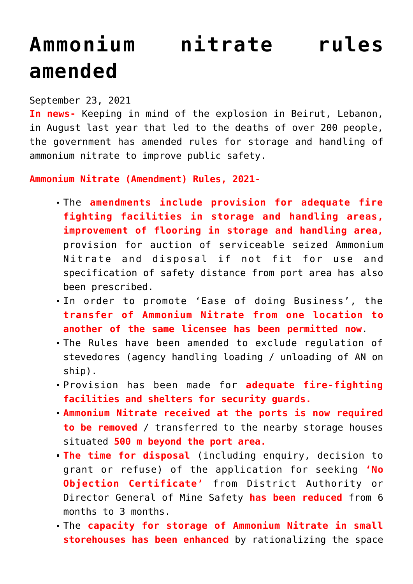## **[Ammonium nitrate rules](https://journalsofindia.com/ammonium-nitrate-rules-amended/) [amended](https://journalsofindia.com/ammonium-nitrate-rules-amended/)**

## September 23, 2021

**In news-** Keeping in mind of the explosion in Beirut, Lebanon, in August last year that led to the deaths of over 200 people, the government has amended rules for storage and handling of ammonium nitrate to improve public safety.

**Ammonium Nitrate (Amendment) Rules, 2021-**

- The **amendments include provision for adequate fire fighting facilities in storage and handling areas, improvement of flooring in storage and handling area,** provision for auction of serviceable seized Ammonium Nitrate and disposal if not fit for use and specification of safety distance from port area has also been prescribed.
- In order to promote 'Ease of doing Business', the **transfer of Ammonium Nitrate from one location to another of the same licensee has been permitted now**.
- The Rules have been amended to exclude regulation of stevedores (agency handling loading / unloading of AN on ship).
- Provision has been made for **adequate fire-fighting facilities and shelters for security guards.**
- **Ammonium Nitrate received at the ports is now required to be removed** / transferred to the nearby storage houses situated **500 m beyond the port area.**
- **The time for disposal** (including enquiry, decision to grant or refuse) of the application for seeking **'No Objection Certificate'** from District Authority or Director General of Mine Safety **has been reduced** from 6 months to 3 months.
- The **capacity for storage of Ammonium Nitrate in small storehouses has been enhanced** by rationalizing the space